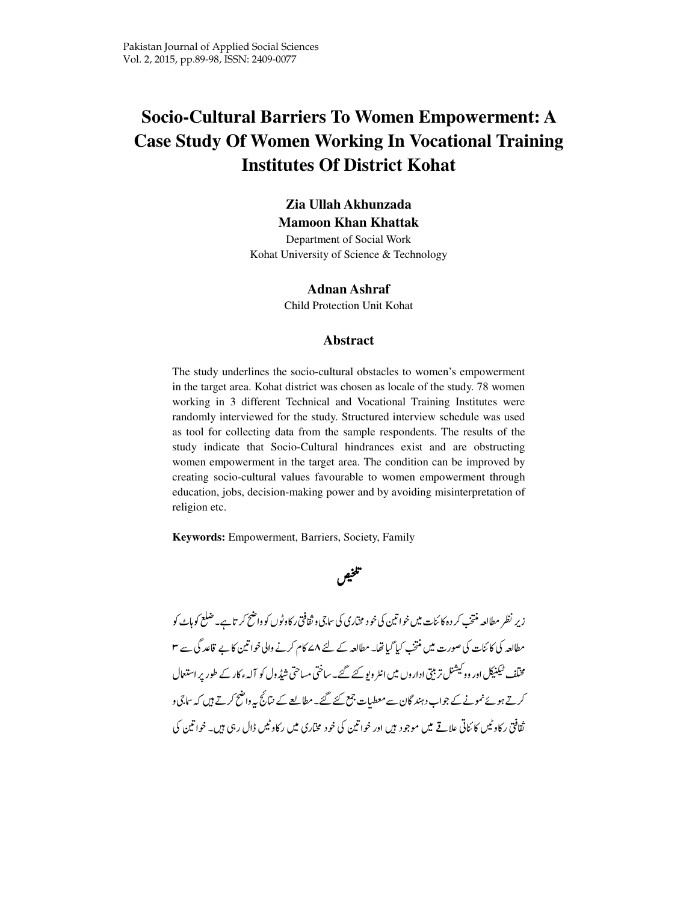# **Socio-Cultural Barriers To Women Empowerment: A Case Study Of Women Working In Vocational Training Institutes Of District Kohat**

### **Zia Ullah Akhunzada**

**Mamoon Khan Khattak**  Department of Social Work

Kohat University of Science & Technology

#### **Adnan Ashraf**

Child Protection Unit Kohat

#### **Abstract**

The study underlines the socio-cultural obstacles to women's empowerment in the target area. Kohat district was chosen as locale of the study. 78 women working in 3 different Technical and Vocational Training Institutes were randomly interviewed for the study. Structured interview schedule was used as tool for collecting data from the sample respondents. The results of the study indicate that Socio-Cultural hindrances exist and are obstructing women empowerment in the target area. The condition can be improved by creating socio-cultural values favourable to women empowerment through education, jobs, decision-making power and by avoiding misinterpretation of religion etc.

**Keywords:** Empowerment, Barriers, Society, Family



زیر نظر مطالعہ منتخب کر دہ کا ئنات میں خوا تین کی خو د مختاری کی ساتی و ثقافتی رکاوٹوں کو واضح کر تاہے۔صلع کوہاٹ کو مطالعہ کی کائنات کی صورت میں منتخب کیا گیا تھا۔ مطالعہ کے لئے ۸ کے م کرنے والی خواتین کا بے تاعد گی سے ۳ مختلف ٹیکنیکل اور وو کیشنل تربیتی اداروں میں انٹر ویو کئے گئے۔ ساختی مساحتی شیڈول کو آلہء کار کے طور پر استعمال کرتے ہوئے نمونے کے جواب دہند گان سے معطیات جمع کئے گئے۔ مطالعے کے نتائج پیر داضح کرتے ہیں کہ ساتی و ثقافتی رکاد ٹیس کائناتی علاقے میں موجود ہیں اور خواتین کی خود مخاری میں رکاد ٹیس ڈال رہی ہیں۔ خواتین کی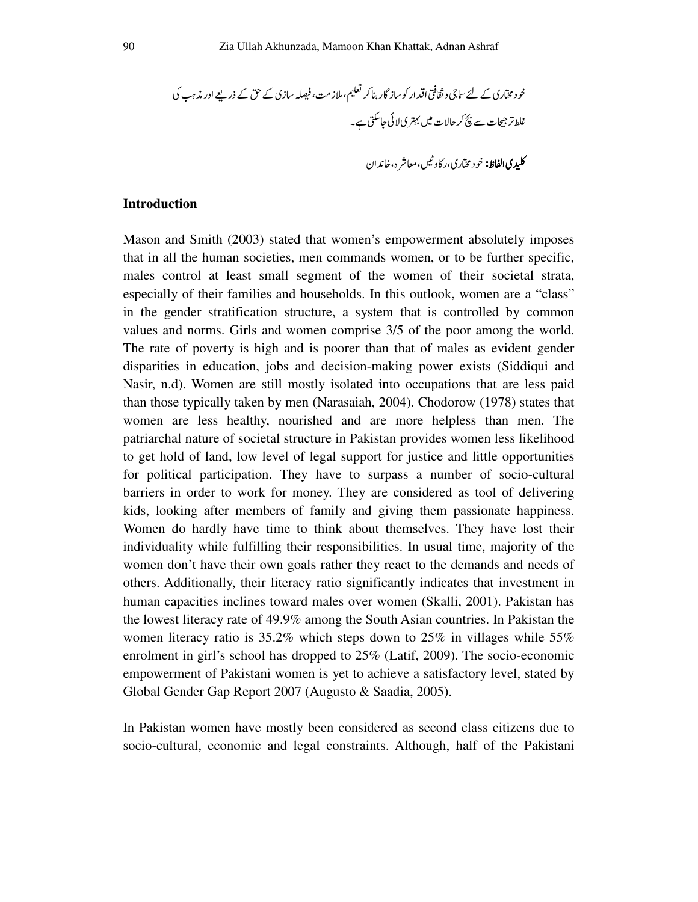kl
mn(o(&Hpqr&sqtuZ&H
v
'( wxyz{z|}/~9 Y
q qeq

### **Introduction**

Mason and Smith (2003) stated that women's empowerment absolutely imposes that in all the human societies, men commands women, or to be further specific, males control at least small segment of the women of their societal strata, especially of their families and households. In this outlook, women are a "class" in the gender stratification structure, a system that is controlled by common values and norms. Girls and women comprise 3/5 of the poor among the world. The rate of poverty is high and is poorer than that of males as evident gender disparities in education, jobs and decision-making power exists (Siddiqui and Nasir, n.d). Women are still mostly isolated into occupations that are less paid than those typically taken by men (Narasaiah, 2004). Chodorow (1978) states that women are less healthy, nourished and are more helpless than men. The patriarchal nature of societal structure in Pakistan provides women less likelihood to get hold of land, low level of legal support for justice and little opportunities for political participation. They have to surpass a number of socio-cultural barriers in order to work for money. They are considered as tool of delivering kids, looking after members of family and giving them passionate happiness. Women do hardly have time to think about themselves. They have lost their individuality while fulfilling their responsibilities. In usual time, majority of the women don't have their own goals rather they react to the demands and needs of others. Additionally, their literacy ratio significantly indicates that investment in human capacities inclines toward males over women (Skalli, 2001). Pakistan has the lowest literacy rate of 49.9% among the South Asian countries. In Pakistan the women literacy ratio is 35.2% which steps down to 25% in villages while 55% enrolment in girl's school has dropped to 25% (Latif, 2009). The socio-economic empowerment of Pakistani women is yet to achieve a satisfactory level, stated by Global Gender Gap Report 2007 (Augusto & Saadia, 2005).

In Pakistan women have mostly been considered as second class citizens due to socio-cultural, economic and legal constraints. Although, half of the Pakistani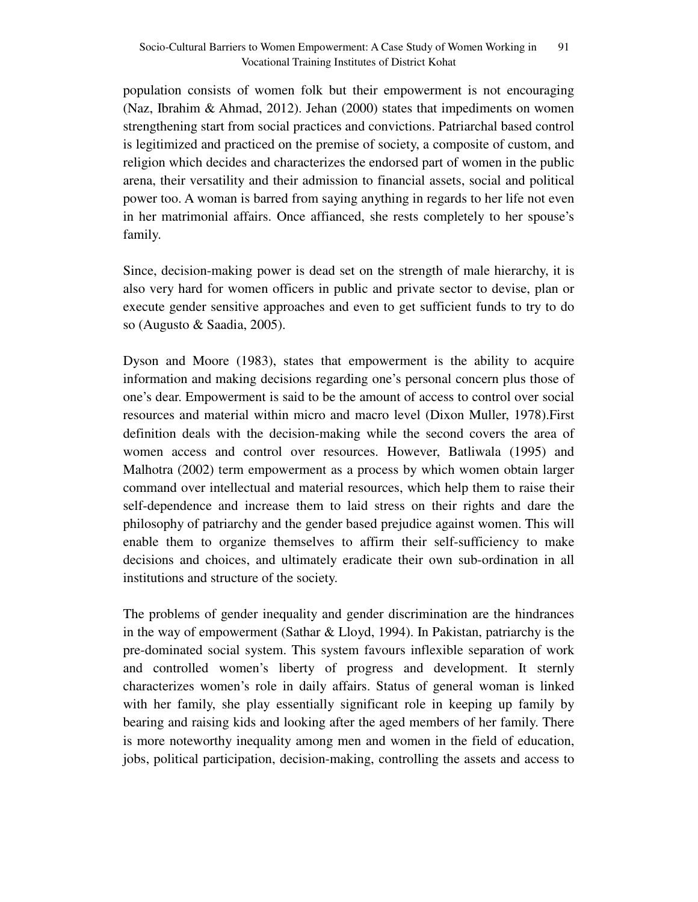population consists of women folk but their empowerment is not encouraging (Naz, Ibrahim & Ahmad, 2012). Jehan (2000) states that impediments on women strengthening start from social practices and convictions. Patriarchal based control is legitimized and practiced on the premise of society, a composite of custom, and religion which decides and characterizes the endorsed part of women in the public arena, their versatility and their admission to financial assets, social and political power too. A woman is barred from saying anything in regards to her life not even in her matrimonial affairs. Once affianced, she rests completely to her spouse's family.

Since, decision-making power is dead set on the strength of male hierarchy, it is also very hard for women officers in public and private sector to devise, plan or execute gender sensitive approaches and even to get sufficient funds to try to do so (Augusto & Saadia, 2005).

Dyson and Moore (1983), states that empowerment is the ability to acquire information and making decisions regarding one's personal concern plus those of one's dear. Empowerment is said to be the amount of access to control over social resources and material within micro and macro level (Dixon Muller, 1978).First definition deals with the decision-making while the second covers the area of women access and control over resources. However, Batliwala (1995) and Malhotra (2002) term empowerment as a process by which women obtain larger command over intellectual and material resources, which help them to raise their self-dependence and increase them to laid stress on their rights and dare the philosophy of patriarchy and the gender based prejudice against women. This will enable them to organize themselves to affirm their self-sufficiency to make decisions and choices, and ultimately eradicate their own sub-ordination in all institutions and structure of the society.

The problems of gender inequality and gender discrimination are the hindrances in the way of empowerment (Sathar & Lloyd, 1994). In Pakistan, patriarchy is the pre-dominated social system. This system favours inflexible separation of work and controlled women's liberty of progress and development. It sternly characterizes women's role in daily affairs. Status of general woman is linked with her family, she play essentially significant role in keeping up family by bearing and raising kids and looking after the aged members of her family. There is more noteworthy inequality among men and women in the field of education, jobs, political participation, decision-making, controlling the assets and access to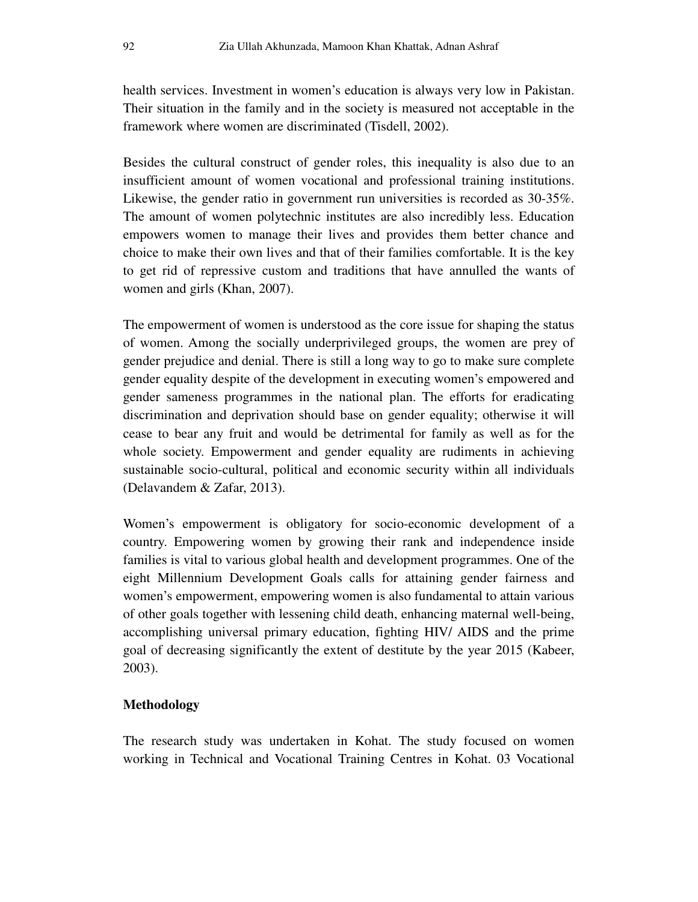health services. Investment in women's education is always very low in Pakistan. Their situation in the family and in the society is measured not acceptable in the framework where women are discriminated (Tisdell, 2002).

Besides the cultural construct of gender roles, this inequality is also due to an insufficient amount of women vocational and professional training institutions. Likewise, the gender ratio in government run universities is recorded as 30-35%. The amount of women polytechnic institutes are also incredibly less. Education empowers women to manage their lives and provides them better chance and choice to make their own lives and that of their families comfortable. It is the key to get rid of repressive custom and traditions that have annulled the wants of women and girls (Khan, 2007).

The empowerment of women is understood as the core issue for shaping the status of women. Among the socially underprivileged groups, the women are prey of gender prejudice and denial. There is still a long way to go to make sure complete gender equality despite of the development in executing women's empowered and gender sameness programmes in the national plan. The efforts for eradicating discrimination and deprivation should base on gender equality; otherwise it will cease to bear any fruit and would be detrimental for family as well as for the whole society. Empowerment and gender equality are rudiments in achieving sustainable socio-cultural, political and economic security within all individuals (Delavandem & Zafar, 2013).

Women's empowerment is obligatory for socio-economic development of a country. Empowering women by growing their rank and independence inside families is vital to various global health and development programmes. One of the eight Millennium Development Goals calls for attaining gender fairness and women's empowerment, empowering women is also fundamental to attain various of other goals together with lessening child death, enhancing maternal well-being, accomplishing universal primary education, fighting HIV/ AIDS and the prime goal of decreasing significantly the extent of destitute by the year 2015 (Kabeer, 2003).

## **Methodology**

The research study was undertaken in Kohat. The study focused on women working in Technical and Vocational Training Centres in Kohat. 03 Vocational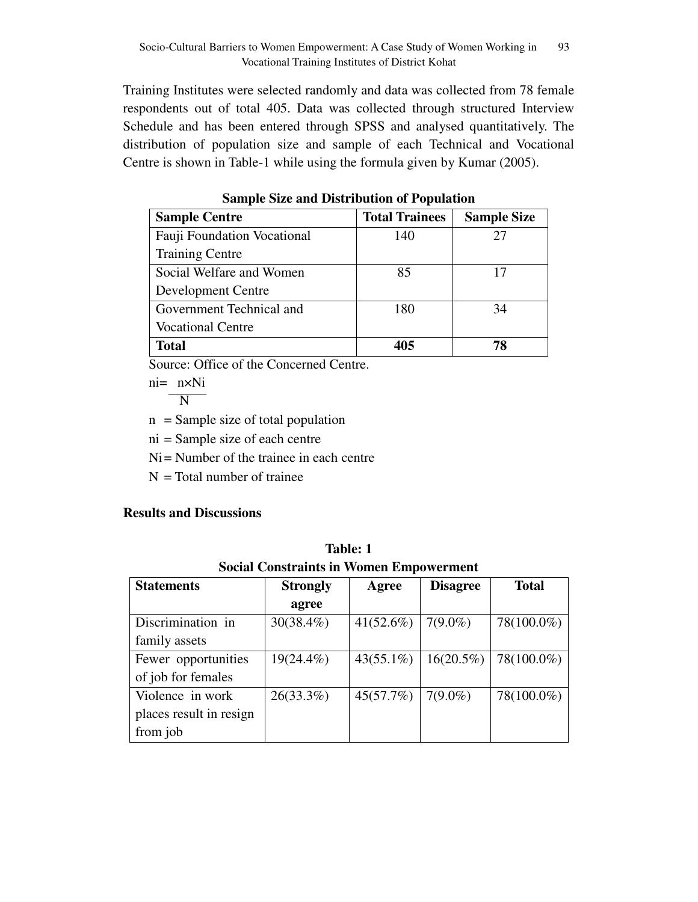Training Institutes were selected randomly and data was collected from 78 female respondents out of total 405. Data was collected through structured Interview Schedule and has been entered through SPSS and analysed quantitatively. The distribution of population size and sample of each Technical and Vocational Centre is shown in Table-1 while using the formula given by Kumar (2005).

| <b>Sample Centre</b>        | <b>Total Trainees</b> | <b>Sample Size</b> |
|-----------------------------|-----------------------|--------------------|
| Fauji Foundation Vocational | 140                   | 27                 |
| <b>Training Centre</b>      |                       |                    |
| Social Welfare and Women    | 85                    | 17                 |
| Development Centre          |                       |                    |
| Government Technical and    | 180                   | 34                 |
| <b>Vocational Centre</b>    |                       |                    |
| <b>Total</b>                | 405                   | 78                 |

**Sample Size and Distribution of Population** 

Source: Office of the Concerned Centre.

ni= n×Ni

N

 $n =$  Sample size of total population

ni = Sample size of each centre

 $Ni =$  Number of the trainee in each centre

 $N = Total number of triangle$ 

## **Results and Discussions**

| Table: 1                                       |  |  |  |
|------------------------------------------------|--|--|--|
| <b>Social Constraints in Women Empowerment</b> |  |  |  |

| <b>Statements</b>       | <b>Strongly</b> | Agree        | <b>Disagree</b> | <b>Total</b> |
|-------------------------|-----------------|--------------|-----------------|--------------|
|                         | agree           |              |                 |              |
| Discrimination in       | $30(38.4\%)$    | 41(52.6%)    | $7(9.0\%)$      | 78(100.0%)   |
| family assets           |                 |              |                 |              |
| Fewer opportunities     | $19(24.4\%)$    | $43(55.1\%)$ | $16(20.5\%)$    | 78(100.0%)   |
| of job for females      |                 |              |                 |              |
| Violence in work        | $26(33.3\%)$    | 45(57.7%)    | $7(9.0\%)$      | 78(100.0%)   |
| places result in resign |                 |              |                 |              |
| from job                |                 |              |                 |              |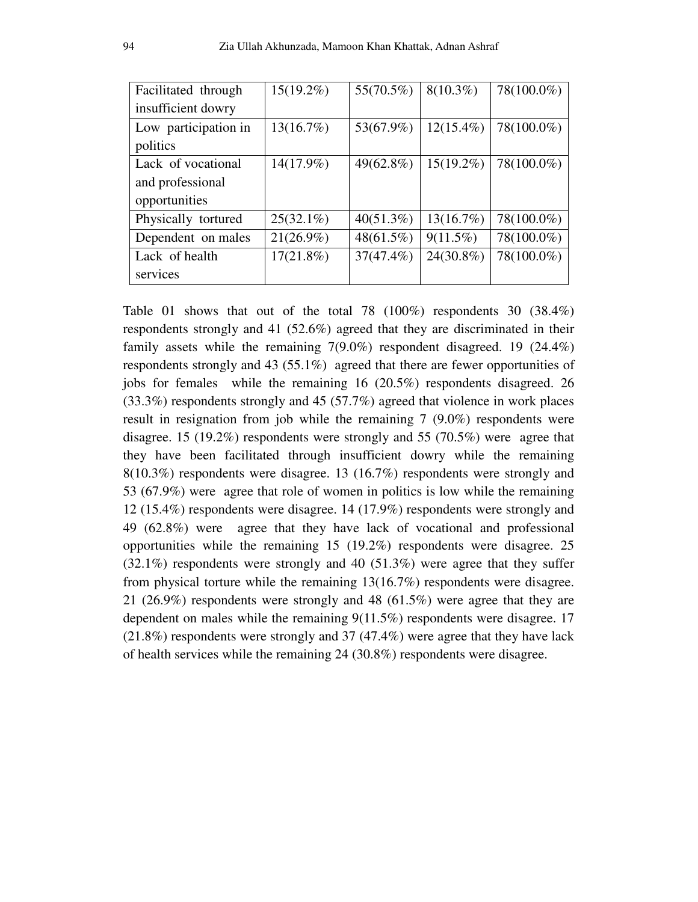| Facilitated through  | $15(19.2\%)$ | 55(70.5%)    | $8(10.3\%)$  | 78(100.0%) |
|----------------------|--------------|--------------|--------------|------------|
| insufficient dowry   |              |              |              |            |
| Low participation in | 13(16.7%)    | 53(67.9%)    | $12(15.4\%)$ | 78(100.0%) |
| politics             |              |              |              |            |
| Lack of vocational   | 14(17.9%)    | 49(62.8%)    | $15(19.2\%)$ | 78(100.0%) |
| and professional     |              |              |              |            |
| opportunities        |              |              |              |            |
| Physically tortured  | $25(32.1\%)$ | 40(51.3%)    | 13(16.7%)    | 78(100.0%) |
| Dependent on males   | $21(26.9\%)$ | $48(61.5\%)$ | $9(11.5\%)$  | 78(100.0%) |
| Lack of health       | $17(21.8\%)$ | $37(47.4\%)$ | 24(30.8%)    | 78(100.0%) |
| services             |              |              |              |            |

Table 01 shows that out of the total 78 (100%) respondents 30 (38.4%) respondents strongly and 41 (52.6%) agreed that they are discriminated in their family assets while the remaining 7(9.0%) respondent disagreed. 19 (24.4%) respondents strongly and 43 (55.1%) agreed that there are fewer opportunities of jobs for females while the remaining 16 (20.5%) respondents disagreed. 26 (33.3%) respondents strongly and 45 (57.7%) agreed that violence in work places result in resignation from job while the remaining 7 (9.0%) respondents were disagree. 15 (19.2%) respondents were strongly and 55 (70.5%) were agree that they have been facilitated through insufficient dowry while the remaining 8(10.3%) respondents were disagree. 13 (16.7%) respondents were strongly and 53 (67.9%) were agree that role of women in politics is low while the remaining 12 (15.4%) respondents were disagree. 14 (17.9%) respondents were strongly and 49 (62.8%) were agree that they have lack of vocational and professional opportunities while the remaining 15 (19.2%) respondents were disagree. 25 (32.1%) respondents were strongly and 40 (51.3%) were agree that they suffer from physical torture while the remaining 13(16.7%) respondents were disagree. 21 (26.9%) respondents were strongly and 48 (61.5%) were agree that they are dependent on males while the remaining 9(11.5%) respondents were disagree. 17 (21.8%) respondents were strongly and 37 (47.4%) were agree that they have lack of health services while the remaining 24 (30.8%) respondents were disagree.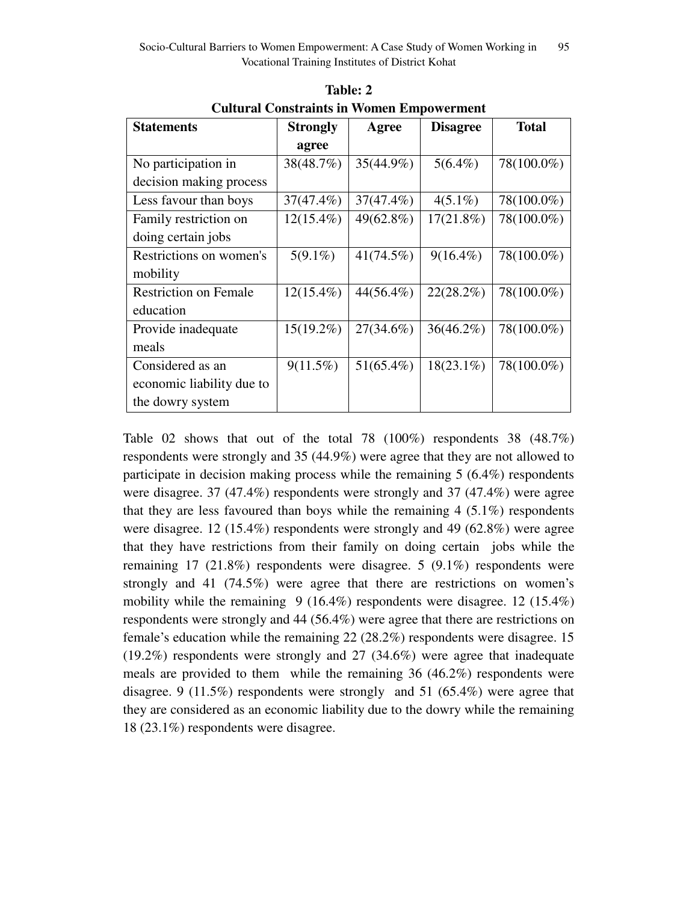| <b>Statements</b>            | <b>Strongly</b> | Agree        | <b>Disagree</b> | <b>Total</b> |
|------------------------------|-----------------|--------------|-----------------|--------------|
|                              | agree           |              |                 |              |
| No participation in          | 38(48.7%)       | 35(44.9%)    | $5(6.4\%)$      | 78(100.0%)   |
| decision making process      |                 |              |                 |              |
| Less favour than boys        | $37(47.4\%)$    | $37(47.4\%)$ | $4(5.1\%)$      | 78(100.0%)   |
| Family restriction on        | $12(15.4\%)$    | 49(62.8%)    | $17(21.8\%)$    | 78(100.0%)   |
| doing certain jobs           |                 |              |                 |              |
| Restrictions on women's      | $5(9.1\%)$      | 41(74.5%)    | $9(16.4\%)$     | 78(100.0%)   |
| mobility                     |                 |              |                 |              |
| <b>Restriction on Female</b> | $12(15.4\%)$    | 44(56.4%)    | 22(28.2%)       | 78(100.0%)   |
| education                    |                 |              |                 |              |
| Provide inadequate           | $15(19.2\%)$    | $27(34.6\%)$ | $36(46.2\%)$    | 78(100.0%)   |
| meals                        |                 |              |                 |              |
| Considered as an             | $9(11.5\%)$     | $51(65.4\%)$ | $18(23.1\%)$    | 78(100.0%)   |
| economic liability due to    |                 |              |                 |              |
| the dowry system             |                 |              |                 |              |

**Table: 2 Cultural Constraints in Women Empowerment** 

Table 02 shows that out of the total 78 (100%) respondents 38 (48.7%) respondents were strongly and 35 (44.9%) were agree that they are not allowed to participate in decision making process while the remaining 5 (6.4%) respondents were disagree. 37 (47.4%) respondents were strongly and 37 (47.4%) were agree that they are less favoured than boys while the remaining  $4(5.1\%)$  respondents were disagree. 12 (15.4%) respondents were strongly and 49 (62.8%) were agree that they have restrictions from their family on doing certain jobs while the remaining 17 (21.8%) respondents were disagree. 5 (9.1%) respondents were strongly and 41 (74.5%) were agree that there are restrictions on women's mobility while the remaining 9 (16.4%) respondents were disagree. 12 (15.4%) respondents were strongly and 44 (56.4%) were agree that there are restrictions on female's education while the remaining 22 (28.2%) respondents were disagree. 15 (19.2%) respondents were strongly and 27 (34.6%) were agree that inadequate meals are provided to them while the remaining 36 (46.2%) respondents were disagree. 9 (11.5%) respondents were strongly and 51 (65.4%) were agree that they are considered as an economic liability due to the dowry while the remaining 18 (23.1%) respondents were disagree.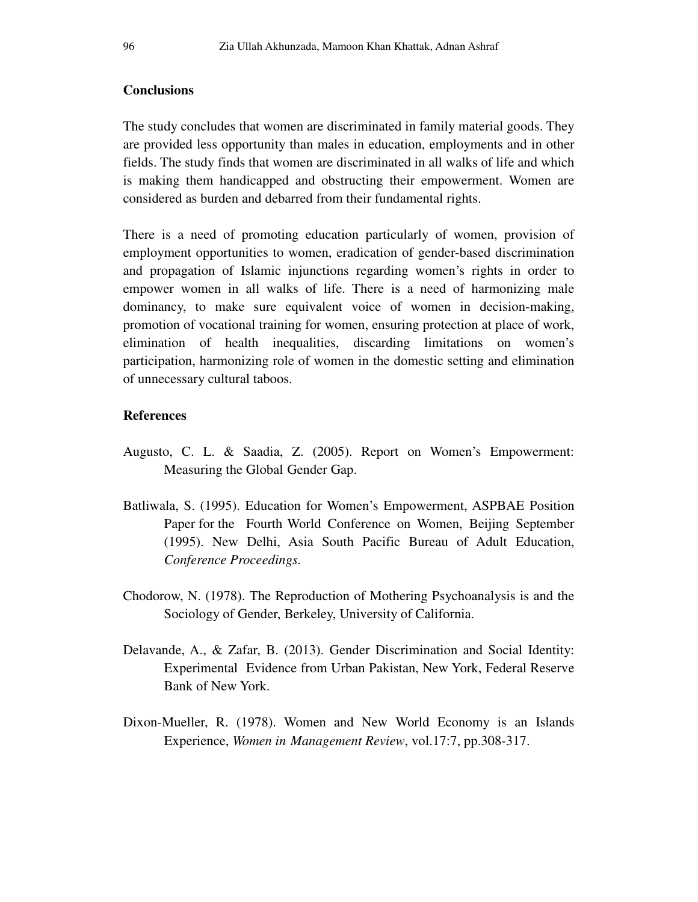## **Conclusions**

The study concludes that women are discriminated in family material goods. They are provided less opportunity than males in education, employments and in other fields. The study finds that women are discriminated in all walks of life and which is making them handicapped and obstructing their empowerment. Women are considered as burden and debarred from their fundamental rights.

There is a need of promoting education particularly of women, provision of employment opportunities to women, eradication of gender-based discrimination and propagation of Islamic injunctions regarding women's rights in order to empower women in all walks of life. There is a need of harmonizing male dominancy, to make sure equivalent voice of women in decision-making, promotion of vocational training for women, ensuring protection at place of work, elimination of health inequalities, discarding limitations on women's participation, harmonizing role of women in the domestic setting and elimination of unnecessary cultural taboos.

## **References**

- Augusto, C. L. & Saadia, Z. (2005). Report on Women's Empowerment: Measuring the Global Gender Gap.
- Batliwala, S. (1995). Education for Women's Empowerment, ASPBAE Position Paper for the Fourth World Conference on Women, Beijing September (1995). New Delhi, Asia South Pacific Bureau of Adult Education, *Conference Proceedings.*
- Chodorow, N. (1978). The Reproduction of Mothering Psychoanalysis is and the Sociology of Gender, Berkeley, University of California.
- Delavande, A., & Zafar, B. (2013). Gender Discrimination and Social Identity: Experimental Evidence from Urban Pakistan, New York, Federal Reserve Bank of New York.
- Dixon-Mueller, R. (1978). Women and New World Economy is an Islands Experience, *Women in Management Review*, vol.17:7, pp.308-317.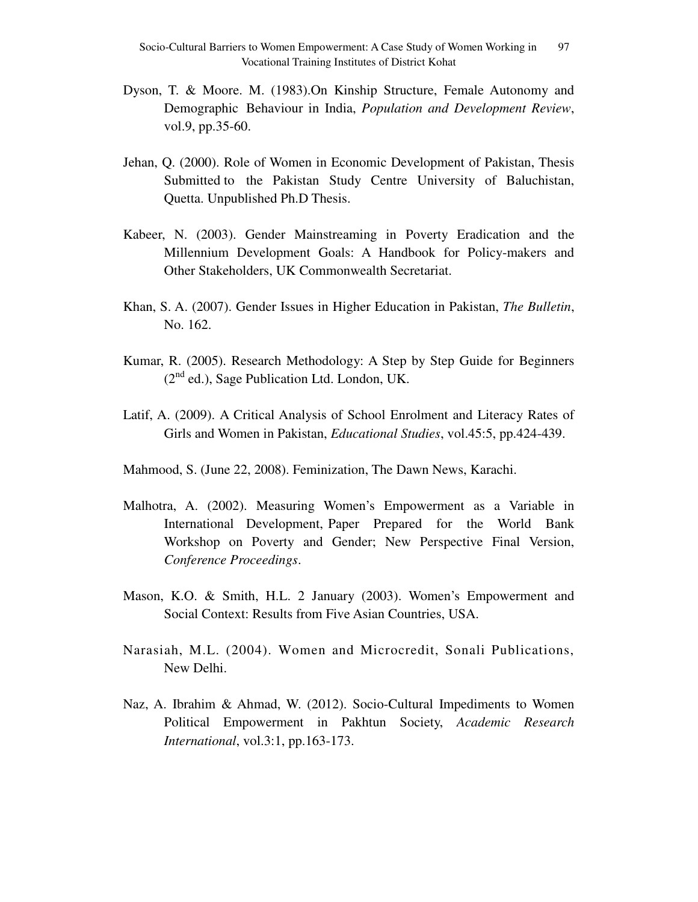- Dyson, T. & Moore. M. (1983).On Kinship Structure, Female Autonomy and Demographic Behaviour in India, *Population and Development Review*, vol.9, pp.35-60.
- Jehan, Q. (2000). Role of Women in Economic Development of Pakistan, Thesis Submitted to the Pakistan Study Centre University of Baluchistan, Quetta. Unpublished Ph.D Thesis.
- Kabeer, N. (2003). Gender Mainstreaming in Poverty Eradication and the Millennium Development Goals: A Handbook for Policy-makers and Other Stakeholders, UK Commonwealth Secretariat.
- Khan, S. A. (2007). Gender Issues in Higher Education in Pakistan, *The Bulletin*, No. 162.
- Kumar, R. (2005). Research Methodology: A Step by Step Guide for Beginners  $(2<sup>nd</sup>$  ed.), Sage Publication Ltd. London, UK.
- Latif, A. (2009). A Critical Analysis of School Enrolment and Literacy Rates of Girls and Women in Pakistan, *Educational Studies*, vol.45:5, pp.424-439.
- Mahmood, S. (June 22, 2008). Feminization, The Dawn News, Karachi.
- Malhotra, A. (2002). Measuring Women's Empowerment as a Variable in International Development, Paper Prepared for the World Bank Workshop on Poverty and Gender; New Perspective Final Version, *Conference Proceedings*.
- Mason, K.O. & Smith, H.L. 2 January (2003). Women's Empowerment and Social Context: Results from Five Asian Countries, USA.
- Narasiah, M.L. (2004). Women and Microcredit, Sonali Publications, New Delhi.
- Naz, A. Ibrahim & Ahmad, W. (2012). Socio-Cultural Impediments to Women Political Empowerment in Pakhtun Society, *Academic Research International*, vol.3:1, pp.163-173.